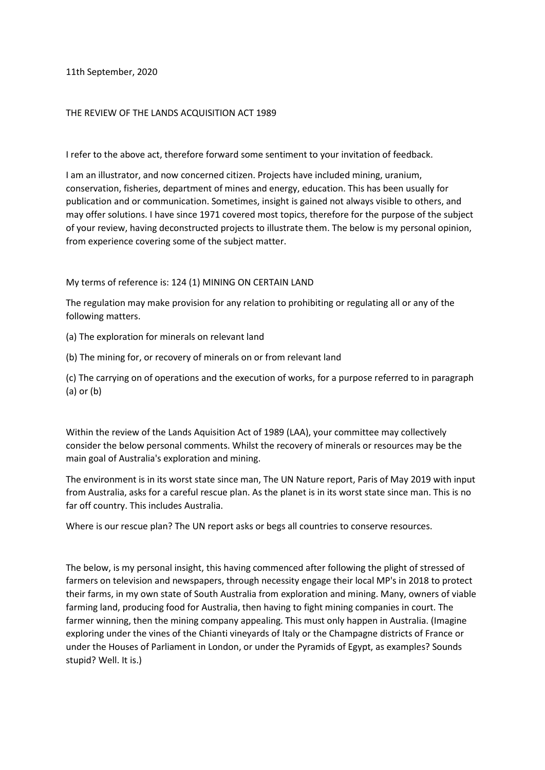11th September, 2020

## THE REVIEW OF THE LANDS ACQUISITION ACT 1989

I refer to the above act, therefore forward some sentiment to your invitation of feedback.

I am an illustrator, and now concerned citizen. Projects have included mining, uranium, conservation, fisheries, department of mines and energy, education. This has been usually for publication and or communication. Sometimes, insight is gained not always visible to others, and may offer solutions. I have since 1971 covered most topics, therefore for the purpose of the subject of your review, having deconstructed projects to illustrate them. The below is my personal opinion, from experience covering some of the subject matter.

## My terms of reference is: 124 (1) MINING ON CERTAIN LAND

The regulation may make provision for any relation to prohibiting or regulating all or any of the following matters.

(a) The exploration for minerals on relevant land

(b) The mining for, or recovery of minerals on or from relevant land

(c) The carrying on of operations and the execution of works, for a purpose referred to in paragraph (a) or (b)

Within the review of the Lands Aquisition Act of 1989 (LAA), your committee may collectively consider the below personal comments. Whilst the recovery of minerals or resources may be the main goal of Australia's exploration and mining.

The environment is in its worst state since man, The UN Nature report, Paris of May 2019 with input from Australia, asks for a careful rescue plan. As the planet is in its worst state since man. This is no far off country. This includes Australia.

Where is our rescue plan? The UN report asks or begs all countries to conserve resources.

The below, is my personal insight, this having commenced after following the plight of stressed of farmers on television and newspapers, through necessity engage their local MP's in 2018 to protect their farms, in my own state of South Australia from exploration and mining. Many, owners of viable farming land, producing food for Australia, then having to fight mining companies in court. The farmer winning, then the mining company appealing. This must only happen in Australia. (Imagine exploring under the vines of the Chianti vineyards of Italy or the Champagne districts of France or under the Houses of Parliament in London, or under the Pyramids of Egypt, as examples? Sounds stupid? Well. It is.)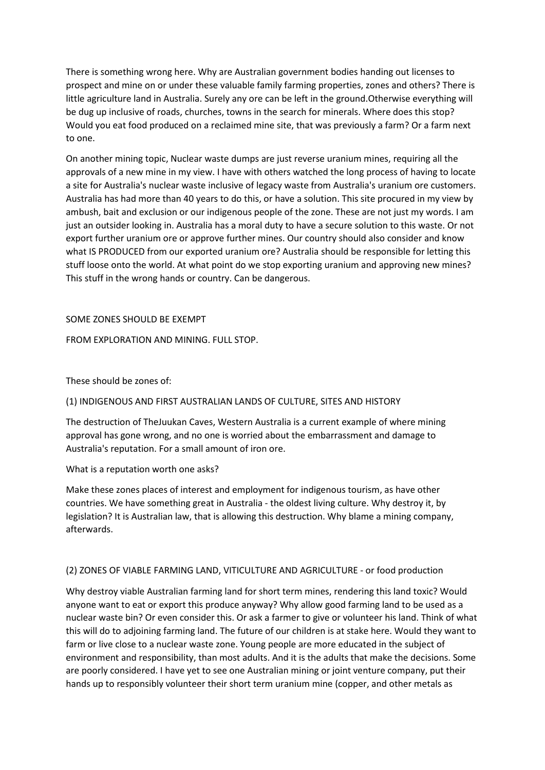There is something wrong here. Why are Australian government bodies handing out licenses to prospect and mine on or under these valuable family farming properties, zones and others? There is little agriculture land in Australia. Surely any ore can be left in the ground.Otherwise everything will be dug up inclusive of roads, churches, towns in the search for minerals. Where does this stop? Would you eat food produced on a reclaimed mine site, that was previously a farm? Or a farm next to one.

On another mining topic, Nuclear waste dumps are just reverse uranium mines, requiring all the approvals of a new mine in my view. I have with others watched the long process of having to locate a site for Australia's nuclear waste inclusive of legacy waste from Australia's uranium ore customers. Australia has had more than 40 years to do this, or have a solution. This site procured in my view by ambush, bait and exclusion or our indigenous people of the zone. These are not just my words. I am just an outsider looking in. Australia has a moral duty to have a secure solution to this waste. Or not export further uranium ore or approve further mines. Our country should also consider and know what IS PRODUCED from our exported uranium ore? Australia should be responsible for letting this stuff loose onto the world. At what point do we stop exporting uranium and approving new mines? This stuff in the wrong hands or country. Can be dangerous.

## SOME ZONES SHOULD BE EXEMPT

FROM EXPLORATION AND MINING. FULL STOP

# These should be zones of:

## (1) INDIGENOUS AND FIRST AUSTRALIAN LANDS OF CULTURE, SITES AND HISTORY

The destruction of TheJuukan Caves, Western Australia is a current example of where mining approval has gone wrong, and no one is worried about the embarrassment and damage to Australia's reputation. For a small amount of iron ore.

## What is a reputation worth one asks?

Make these zones places of interest and employment for indigenous tourism, as have other countries. We have something great in Australia - the oldest living culture. Why destroy it, by legislation? It is Australian law, that is allowing this destruction. Why blame a mining company, afterwards.

## (2) ZONES OF VIABLE FARMING LAND, VITICULTURE AND AGRICULTURE - or food production

Why destroy viable Australian farming land for short term mines, rendering this land toxic? Would anyone want to eat or export this produce anyway? Why allow good farming land to be used as a nuclear waste bin? Or even consider this. Or ask a farmer to give or volunteer his land. Think of what this will do to adjoining farming land. The future of our children is at stake here. Would they want to farm or live close to a nuclear waste zone. Young people are more educated in the subject of environment and responsibility, than most adults. And it is the adults that make the decisions. Some are poorly considered. I have yet to see one Australian mining or joint venture company, put their hands up to responsibly volunteer their short term uranium mine (copper, and other metals as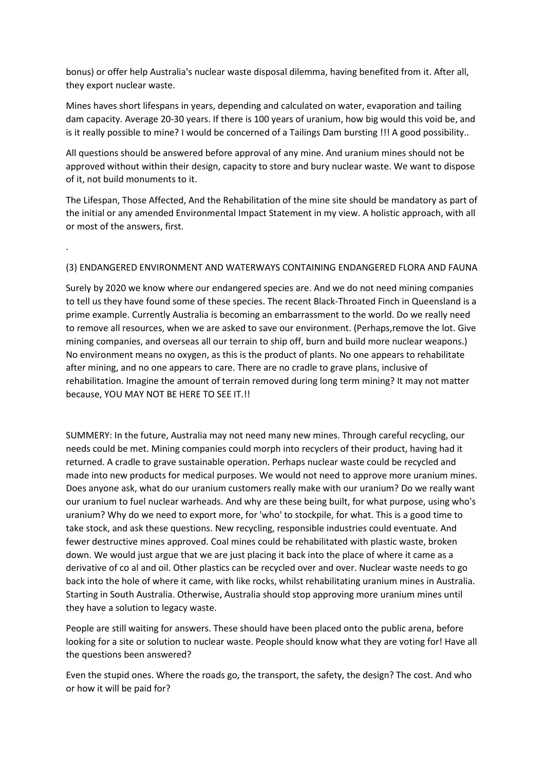bonus) or offer help Australia's nuclear waste disposal dilemma, having benefited from it. After all, they export nuclear waste.

Mines haves short lifespans in years, depending and calculated on water, evaporation and tailing dam capacity. Average 20-30 years. If there is 100 years of uranium, how big would this void be, and is it really possible to mine? I would be concerned of a Tailings Dam bursting !!! A good possibility..

All questions should be answered before approval of any mine. And uranium mines should not be approved without within their design, capacity to store and bury nuclear waste. We want to dispose of it, not build monuments to it.

The Lifespan, Those Affected, And the Rehabilitation of the mine site should be mandatory as part of the initial or any amended Environmental Impact Statement in my view. A holistic approach, with all or most of the answers, first.

# (3) ENDANGERED ENVIRONMENT AND WATERWAYS CONTAINING ENDANGERED FLORA AND FAUNA

.

Surely by 2020 we know where our endangered species are. And we do not need mining companies to tell us they have found some of these species. The recent Black-Throated Finch in Queensland is a prime example. Currently Australia is becoming an embarrassment to the world. Do we really need to remove all resources, when we are asked to save our environment. (Perhaps,remove the lot. Give mining companies, and overseas all our terrain to ship off, burn and build more nuclear weapons.) No environment means no oxygen, as this is the product of plants. No one appears to rehabilitate after mining, and no one appears to care. There are no cradle to grave plans, inclusive of rehabilitation. Imagine the amount of terrain removed during long term mining? It may not matter because, YOU MAY NOT BE HERE TO SEE IT.!!

SUMMERY: In the future, Australia may not need many new mines. Through careful recycling, our needs could be met. Mining companies could morph into recyclers of their product, having had it returned. A cradle to grave sustainable operation. Perhaps nuclear waste could be recycled and made into new products for medical purposes. We would not need to approve more uranium mines. Does anyone ask, what do our uranium customers really make with our uranium? Do we really want our uranium to fuel nuclear warheads. And why are these being built, for what purpose, using who's uranium? Why do we need to export more, for 'who' to stockpile, for what. This is a good time to take stock, and ask these questions. New recycling, responsible industries could eventuate. And fewer destructive mines approved. Coal mines could be rehabilitated with plastic waste, broken down. We would just argue that we are just placing it back into the place of where it came as a derivative of co al and oil. Other plastics can be recycled over and over. Nuclear waste needs to go back into the hole of where it came, with like rocks, whilst rehabilitating uranium mines in Australia. Starting in South Australia. Otherwise, Australia should stop approving more uranium mines until they have a solution to legacy waste.

People are still waiting for answers. These should have been placed onto the public arena, before looking for a site or solution to nuclear waste. People should know what they are voting for! Have all the questions been answered?

Even the stupid ones. Where the roads go, the transport, the safety, the design? The cost. And who or how it will be paid for?